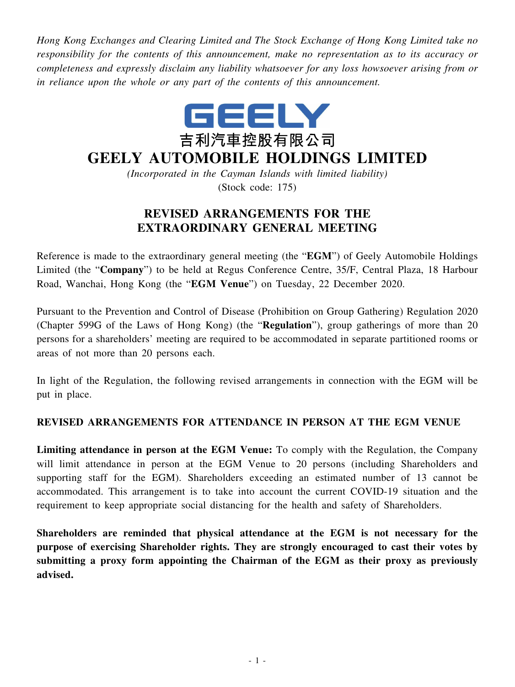*Hong Kong Exchanges and Clearing Limited and The Stock Exchange of Hong Kong Limited take no responsibility for the contents of this announcement, make no representation as to its accuracy or completeness and expressly disclaim any liability whatsoever for any loss howsoever arising from or in reliance upon the whole or any part of the contents of this announcement.*



## **GEELY AUTOMOBILE HOLDINGS LIMITED**

*(Incorporated in the Cayman Islands with limited liability)* (Stock code: 175)

## **REVISED ARRANGEMENTS FOR THE EXTRAORDINARY GENERAL MEETING**

Reference is made to the extraordinary general meeting (the "**EGM**") of Geely Automobile Holdings Limited (the "**Company**") to be held at Regus Conference Centre, 35/F, Central Plaza, 18 Harbour Road, Wanchai, Hong Kong (the "**EGM Venue**") on Tuesday, 22 December 2020.

Pursuant to the Prevention and Control of Disease (Prohibition on Group Gathering) Regulation 2020 (Chapter 599G of the Laws of Hong Kong) (the "**Regulation**"), group gatherings of more than 20 persons for a shareholders' meeting are required to be accommodated in separate partitioned rooms or areas of not more than 20 persons each.

In light of the Regulation, the following revised arrangements in connection with the EGM will be put in place.

## **REVISED ARRANGEMENTS FOR ATTENDANCE IN PERSON AT THE EGM VENUE**

**Limiting attendance in person at the EGM Venue:** To comply with the Regulation, the Company will limit attendance in person at the EGM Venue to 20 persons (including Shareholders and supporting staff for the EGM). Shareholders exceeding an estimated number of 13 cannot be accommodated. This arrangement is to take into account the current COVID-19 situation and the requirement to keep appropriate social distancing for the health and safety of Shareholders.

**Shareholders are reminded that physical attendance at the EGM is not necessary for the purpose of exercising Shareholder rights. They are strongly encouraged to cast their votes by submitting a proxy form appointing the Chairman of the EGM as their proxy as previously advised.**